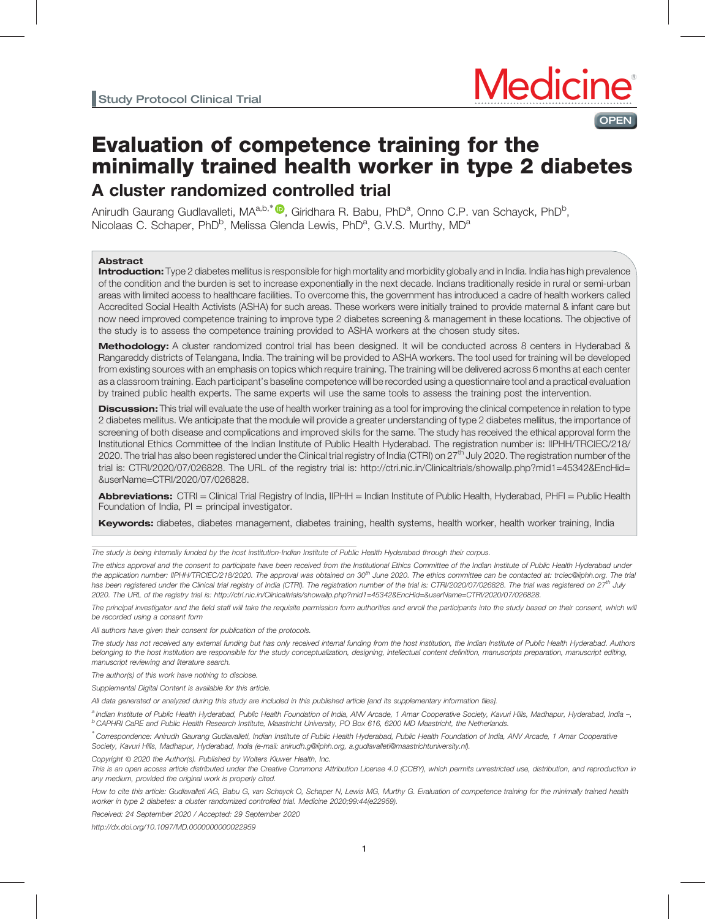

# Evaluation of competence training for the minimally trained health worker in type 2 diabetes A cluster randomized controlled trial

Anirudh Gaurang Gudlavalleti, MA<sup>a,b,\*</sup> ®, Giridhara R. Babu, PhD<sup>a</sup>, Onno C.P. van Schayck, PhD<sup>b</sup>, Nicolaas C. Schaper, PhD<sup>b</sup>, Melissa Glenda Lewis, PhD<sup>a</sup>, G.V.S. Murthy, MD<sup>a</sup>

### Abstract

Introduction: Type 2 diabetes mellitus is responsible for high mortality and morbidity globally and in India. India has high prevalence of the condition and the burden is set to increase exponentially in the next decade. Indians traditionally reside in rural or semi-urban areas with limited access to healthcare facilities. To overcome this, the government has introduced a cadre of health workers called Accredited Social Health Activists (ASHA) for such areas. These workers were initially trained to provide maternal & infant care but now need improved competence training to improve type 2 diabetes screening & management in these locations. The objective of the study is to assess the competence training provided to ASHA workers at the chosen study sites.

Methodology: A cluster randomized control trial has been designed. It will be conducted across 8 centers in Hyderabad & Rangareddy districts of Telangana, India. The training will be provided to ASHA workers. The tool used for training will be developed from existing sources with an emphasis on topics which require training. The training will be delivered across 6 months at each center as a classroom training. Each participant's baseline competence will be recorded using a questionnaire tool and a practical evaluation by trained public health experts. The same experts will use the same tools to assess the training post the intervention.

Discussion: This trial will evaluate the use of health worker training as a tool for improving the clinical competence in relation to type 2 diabetes mellitus. We anticipate that the module will provide a greater understanding of type 2 diabetes mellitus, the importance of screening of both disease and complications and improved skills for the same. The study has received the ethical approval form the Institutional Ethics Committee of the Indian Institute of Public Health Hyderabad. The registration number is: IIPHH/TRCIEC/218/ 2020. The trial has also been registered under the Clinical trial registry of India (CTRI) on 27<sup>th</sup> July 2020. The registration number of the trial is: CTRI/2020/07/026828. The URL of the registry trial is: [http://ctri.nic.in/Clinicaltrials/showallp.php?mid1=45342&EncHid=](http://ctri.nic.in/Clinicaltrials/showallp.php?mid1=45342&x0026;EncHid=&x0026;userName=CTRI/2020/07/026828) [&userName=CTRI/2020/07/026828](http://ctri.nic.in/Clinicaltrials/showallp.php?mid1=45342&x0026;EncHid=&x0026;userName=CTRI/2020/07/026828).

Abbreviations: CTRI = Clinical Trial Registry of India, IIPHH = Indian Institute of Public Health, Hyderabad, PHFI = Public Health Foundation of India,  $PI = principal$  investigator.

Keywords: diabetes, diabetes management, diabetes training, health systems, health worker, health worker training, India

The study is being internally funded by the host institution-Indian Institute of Public Health Hyderabad through their corpus.

The ethics approval and the consent to participate have been received from the Institutional Ethics Committee of the Indian Institute of Public Health Hyderabad under the application number: IIPHH/TRCIEC/218/2020. The approval was obtained on 30<sup>th</sup> June 2020. The ethics committee can be contacted at: trciec@iiphh.org. The trial has been registered under the Clinical trial registry of India (CTRI). The registration number of the trial is: CTRI/2020/07/026828. The trial was registered on 27<sup>th</sup> July 2020. The URL of the registry trial is: [http://ctri.nic.in/Clinicaltrials/showallp.php?mid1=45342&EncHid=&userName=CTRI/2020/07/026828.](http://ctri.nic.in/Clinicaltrials/showallp.php?mid1=45342&x0026;EncHid=&x0026;userName=CTRI/2020/07/026828)

The principal investigator and the field staff will take the requisite permission form authorities and enroll the participants into the study based on their consent, which will be recorded using a consent form

All authors have given their consent for publication of the protocols.

The study has not received any external funding but has only received internal funding from the host institution, the Indian Institute of Public Health Hyderabad. Authors belonging to the host institution are responsible for the study conceptualization, designing, intellectual content definition, manuscripts preparation, manuscript editing, manuscript reviewing and literature search.

The author(s) of this work have nothing to disclose.

Supplemental Digital Content is available for this article.

All data generated or analyzed during this study are included in this published article [and its supplementary information files].

a Indian Institute of Public Health Hyderabad, Public Health Foundation of India, ANV Arcade, 1 Amar Cooperative Society, Kavuri Hills, Madhapur, Hyderabad, India –, <sup>b</sup> CAPHRI CaRE and Public Health Research Institute, Maastricht University, PO Box 616, 6200 MD Maastricht, the Netherlands.

∗ Correspondence: Anirudh Gaurang Gudlavalleti, Indian Institute of Public Health Hyderabad, Public Health Foundation of India, ANV Arcade, 1 Amar Cooperative Society, Kavuri Hills, Madhapur, Hyderabad, India (e-mail: [anirudh.g@iiphh.org, a.gudlavalleti@maastrichtuniversity.nl](mailto:anirudh.g@iiphh.org, a.gudlavalleti@maastrichtuniversity.nl)).

Copyright © 2020 the Author(s). Published by Wolters Kluwer Health, Inc.

This is an open access article distributed under the [Creative Commons Attribution License 4.0](http://creativecommons.org/licenses/by/4.0) (CCBY), which permits unrestricted use, distribution, and reproduction in any medium, provided the original work is properly cited.

How to cite this article: Gudlavalleti AG, Babu G, van Schayck O, Schaper N, Lewis MG, Murthy G. Evaluation of competence training for the minimally trained health worker in type 2 diabetes: a cluster randomized controlled trial. Medicine 2020;99:44(e22959).

Received: 24 September 2020 / Accepted: 29 September 2020

<http://dx.doi.org/10.1097/MD.0000000000022959>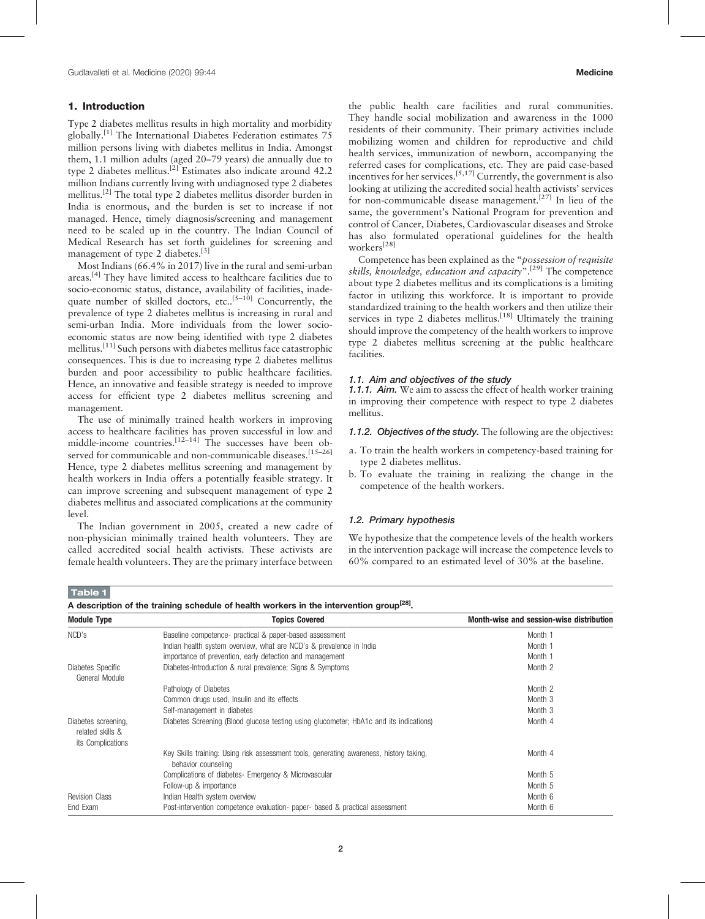# <span id="page-1-0"></span>1. Introduction

Type 2 diabetes mellitus results in high mortality and morbidity globally.<sup>[\[1\]](#page-6-0)</sup> The International Diabetes Federation estimates  $75$ million persons living with diabetes mellitus in India. Amongst them, 1.1 million adults (aged 20–79 years) die annually due to type 2 diabetes mellitus.[\[2\]](#page-6-0) Estimates also indicate around 42.2 million Indians currently living with undiagnosed type 2 diabetes mellitus.[\[2\]](#page-6-0) The total type 2 diabetes mellitus disorder burden in India is enormous, and the burden is set to increase if not managed. Hence, timely diagnosis/screening and management need to be scaled up in the country. The Indian Council of Medical Research has set forth guidelines for screening and management of type 2 diabetes.<sup>[\[3\]](#page-6-0)</sup>

Most Indians (66.4% in 2017) live in the rural and semi-urban areas.<sup>[\[4\]](#page-6-0)</sup> They have limited access to healthcare facilities due to socio-economic status, distance, availability of facilities, inadequate number of skilled doctors, etc..<sup>[5-10]</sup> Concurrently, the prevalence of type 2 diabetes mellitus is increasing in rural and semi-urban India. More individuals from the lower socioeconomic status are now being identified with type 2 diabetes mellitus.<sup>[\[11\]](#page-6-0)</sup> Such persons with diabetes mellitus face catastrophic consequences. This is due to increasing type 2 diabetes mellitus burden and poor accessibility to public healthcare facilities. Hence, an innovative and feasible strategy is needed to improve access for efficient type 2 diabetes mellitus screening and management.

The use of minimally trained health workers in improving access to healthcare facilities has proven successful in low and middle-income countries.<sup>[12–14]</sup> The successes have been observed for communicable and non-communicable diseases.<sup>[15-26]</sup> Hence, type 2 diabetes mellitus screening and management by health workers in India offers a potentially feasible strategy. It can improve screening and subsequent management of type 2 diabetes mellitus and associated complications at the community level.

The Indian government in 2005, created a new cadre of non-physician minimally trained health volunteers. They are called accredited social health activists. These activists are female health volunteers. They are the primary interface between

the public health care facilities and rural communities. They handle social mobilization and awareness in the 1000 residents of their community. Their primary activities include mobilizing women and children for reproductive and child health services, immunization of newborn, accompanying the referred cases for complications, etc. They are paid case-based incentives for her services.[5,17] Currently, the government is also looking at utilizing the accredited social health activists' services for non-communicable disease management.<sup>[\[27\]](#page-7-0)</sup> In lieu of the same, the government's National Program for prevention and control of Cancer, Diabetes, Cardiovascular diseases and Stroke has also formulated operational guidelines for the health workers[\[28\]](#page-7-0)

Competence has been explained as the "possession of requisite skills, knowledge, education and capacity".<sup>[\[29\]](#page-7-0)</sup> The competence about type 2 diabetes mellitus and its complications is a limiting factor in utilizing this workforce. It is important to provide standardized training to the health workers and then utilize their services in type 2 diabetes mellitus.<sup>[\[18\]](#page-7-0)</sup> Ultimately the training should improve the competency of the health workers to improve type 2 diabetes mellitus screening at the public healthcare facilities.

## 1.1. Aim and objectives of the study

1.1.1. Aim. We aim to assess the effect of health worker training in improving their competence with respect to type 2 diabetes mellitus.

1.1.2. Objectives of the study. The following are the objectives:

- a. To train the health workers in competency-based training for type 2 diabetes mellitus.
- b. To evaluate the training in realizing the change in the competence of the health workers.

## 1.2. Primary hypothesis

We hypothesize that the competence levels of the health workers in the intervention package will increase the competence levels to 60% compared to an estimated level of 30% at the baseline.

Table 1

A description of the training schedule of health workers in the intervention group<sup>[28]</sup>.

| <b>Module Type</b>                                           | <b>Topics Covered</b>                                                                                          | Month-wise and session-wise distribution |
|--------------------------------------------------------------|----------------------------------------------------------------------------------------------------------------|------------------------------------------|
| NCD's                                                        | Baseline competence- practical & paper-based assessment                                                        | Month 1                                  |
|                                                              | Indian health system overview, what are NCD's & prevalence in India                                            | Month 1                                  |
|                                                              | importance of prevention, early detection and management                                                       | Month 1                                  |
| Diabetes Specific<br>General Module                          | Diabetes-Introduction & rural prevalence; Signs & Symptoms                                                     | Month 2                                  |
|                                                              | Pathology of Diabetes                                                                                          | Month 2                                  |
|                                                              | Common drugs used, Insulin and its effects                                                                     | Month 3                                  |
|                                                              | Self-management in diabetes                                                                                    | Month 3                                  |
| Diabetes screening,<br>related skills &<br>its Complications | Diabetes Screening (Blood glucose testing using glucometer; HbA1c and its indications)                         | Month 4                                  |
|                                                              | Key Skills training: Using risk assessment tools, generating awareness, history taking,<br>behavior counseling | Month 4                                  |
|                                                              | Complications of diabetes- Emergency & Microvascular                                                           | Month 5                                  |
|                                                              | Follow-up & importance                                                                                         | Month 5                                  |
| <b>Revision Class</b>                                        | Indian Health system overview                                                                                  | Month 6                                  |
| End Exam                                                     | Post-intervention competence evaluation- paper- based & practical assessment                                   | Month 6                                  |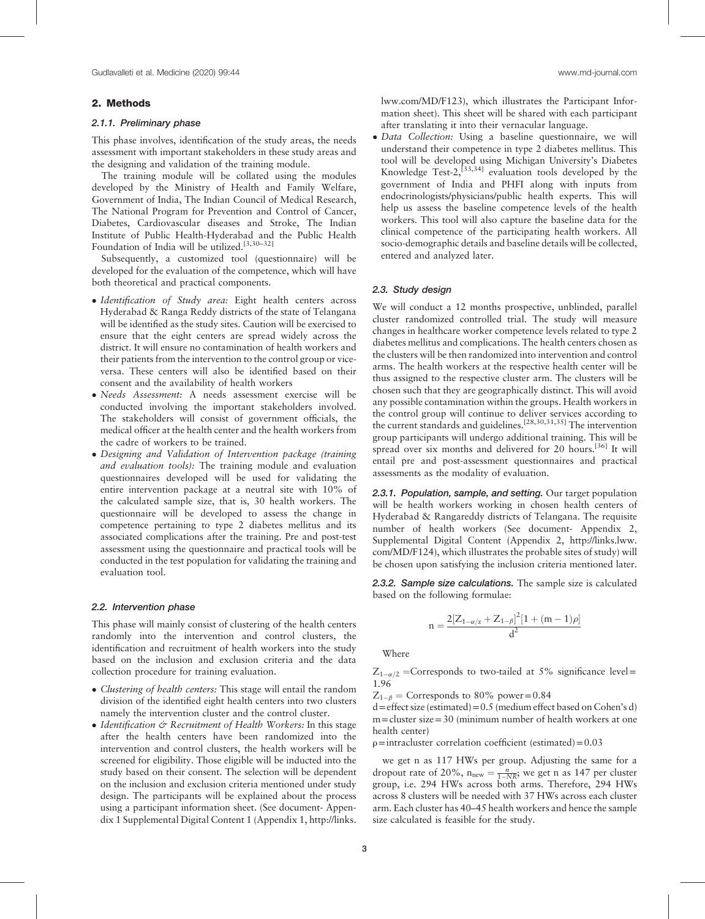#### 2. Methods

# 2.1.1. Preliminary phase

This phase involves, identification of the study areas, the needs assessment with important stakeholders in these study areas and the designing and validation of the training module.

The training module will be collated using the modules developed by the Ministry of Health and Family Welfare, Government of India, The Indian Council of Medical Research, The National Program for Prevention and Control of Cancer, Diabetes, Cardiovascular diseases and Stroke, The Indian Institute of Public Health-Hyderabad and the Public Health Foundation of India will be utilized.<sup>[3,30-32]</sup>

Subsequently, a customized tool (questionnaire) will be developed for the evaluation of the competence, which will have both theoretical and practical components.

- Identification of Study area: Eight health centers across Hyderabad & Ranga Reddy districts of the state of Telangana will be identified as the study sites. Caution will be exercised to ensure that the eight centers are spread widely across the district. It will ensure no contamination of health workers and their patients from the intervention to the control group or viceversa. These centers will also be identified based on their consent and the availability of health workers
- Needs Assessment: A needs assessment exercise will be conducted involving the important stakeholders involved. The stakeholders will consist of government officials, the medical officer at the health center and the health workers from the cadre of workers to be trained.
- Designing and Validation of Intervention package (training and evaluation tools): The training module and evaluation questionnaires developed will be used for validating the entire intervention package at a neutral site with 10% of the calculated sample size, that is, 30 health workers. The questionnaire will be developed to assess the change in competence pertaining to type 2 diabetes mellitus and its associated complications after the training. Pre and post-test assessment using the questionnaire and practical tools will be conducted in the test population for validating the training and evaluation tool.

## 2.2. Intervention phase

This phase will mainly consist of clustering of the health centers randomly into the intervention and control clusters, the identification and recruitment of health workers into the study based on the inclusion and exclusion criteria and the data collection procedure for training evaluation.

- Clustering of health centers: This stage will entail the random division of the identified eight health centers into two clusters namely the intervention cluster and the control cluster.
- $\bullet$  Identification  $\circ$  Recruitment of Health Workers: In this stage after the health centers have been randomized into the intervention and control clusters, the health workers will be screened for eligibility. Those eligible will be inducted into the study based on their consent. The selection will be dependent on the inclusion and exclusion criteria mentioned under study design. The participants will be explained about the process using a participant information sheet. (See document- Appendix 1 Supplemental Digital Content 1 (Appendix 1, [http://links.](http://links.lww.com/MD/F123)

[lww.com/MD/F123](http://links.lww.com/MD/F123)), which illustrates the Participant Information sheet). This sheet will be shared with each participant after translating it into their vernacular language.

 Data Collection: Using a baseline questionnaire, we will understand their competence in type 2 diabetes mellitus. This tool will be developed using Michigan University's Diabetes Knowledge Test-2,<sup>[33,34]</sup> evaluation tools developed by the government of India and PHFI along with inputs from endocrinologists/physicians/public health experts. This will help us assess the baseline competence levels of the health workers. This tool will also capture the baseline data for the clinical competence of the participating health workers. All socio-demographic details and baseline details will be collected, entered and analyzed later.

## 2.3. Study design

We will conduct a 12 months prospective, unblinded, parallel cluster randomized controlled trial. The study will measure changes in healthcare worker competence levels related to type 2 diabetes mellitus and complications. The health centers chosen as the clusters will be then randomized into intervention and control arms. The health workers at the respective health center will be thus assigned to the respective cluster arm. The clusters will be chosen such that they are geographically distinct. This will avoid any possible contamination within the groups. Health workers in the control group will continue to deliver services according to the current standards and guidelines.[28,30,31,35] The intervention group participants will undergo additional training. This will be spread over six months and delivered for 20 hours.<sup>[\[36\]](#page-7-0)</sup> It will entail pre and post-assessment questionnaires and practical assessments as the modality of evaluation.

2.3.1. Population, sample, and setting. Our target population will be health workers working in chosen health centers of Hyderabad & Rangareddy districts of Telangana. The requisite number of health workers (See document- Appendix 2, Supplemental Digital Content (Appendix 2, [http://links.lww.](http://links.lww.com/MD/F124) [com/MD/F124\)](http://links.lww.com/MD/F124), which illustrates the probable sites of study) will be chosen upon satisfying the inclusion criteria mentioned later.

2.3.2. Sample size calculations. The sample size is calculated based on the following formulae:

$$
n=\frac{2[Z_{1-\alpha/z}+Z_{1-\beta}]^2[1+(m-1)\rho]}{d^2}
$$

Where

 $Z_{1-\alpha/2}$  = Corresponds to two-tailed at 5% significance level = 1.96

 $Z_{1-\beta}$  = Corresponds to 80% power=0.84

 $d =$ effect size (estimated) = 0.5 (medium effect based on Cohen's d) m=cluster size=30 (minimum number of health workers at one health center)

 $p=$  intracluster correlation coefficient (estimated) = 0.03

we get n as 117 HWs per group. Adjusting the same for a dropout rate of 20%,  $n_{\text{new}} = \frac{n}{1 - NR}$ ; we get n as 147 per cluster group, i.e. 294 HWs across both arms. Therefore, 294 HWs across 8 clusters will be needed with 37 HWs across each cluster arm. Each cluster has 40–45 health workers and hence the sample size calculated is feasible for the study.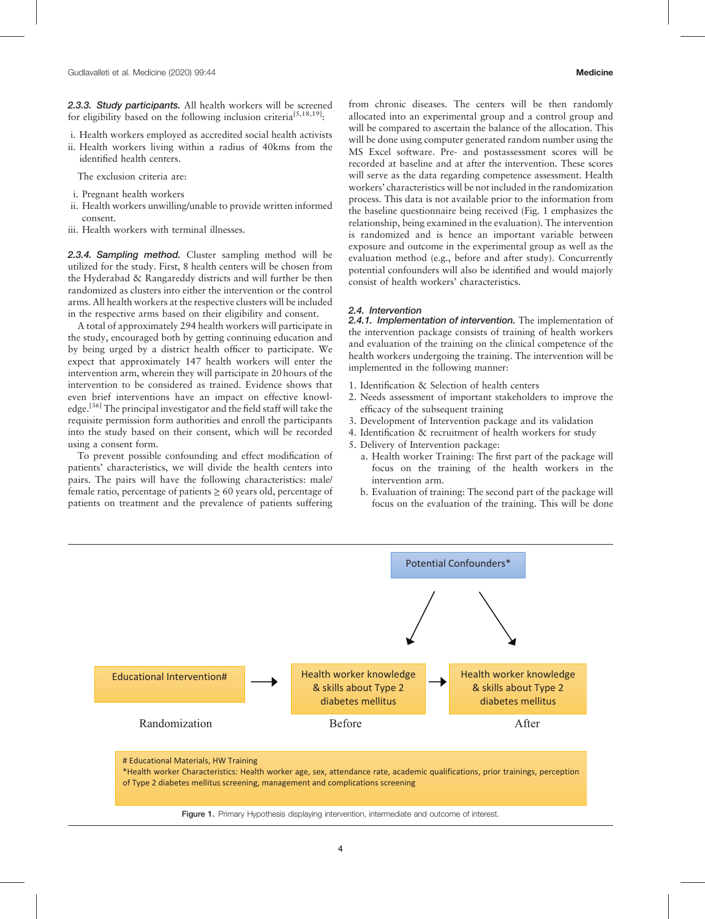2.3.3. Study participants. All health workers will be screened for eligibility based on the following inclusion criteria<sup>[5,18,19]</sup>:

i. Health workers employed as accredited social health activists ii. Health workers living within a radius of 40kms from the identified health centers.

The exclusion criteria are:

- i. Pregnant health workers
- ii. Health workers unwilling/unable to provide written informed consent.
- iii. Health workers with terminal illnesses.

2.3.4. Sampling method. Cluster sampling method will be utilized for the study. First, 8 health centers will be chosen from the Hyderabad & Rangareddy districts and will further be then randomized as clusters into either the intervention or the control arms. All health workers at the respective clusters will be included in the respective arms based on their eligibility and consent.

A total of approximately 294 health workers will participate in the study, encouraged both by getting continuing education and by being urged by a district health officer to participate. We expect that approximately 147 health workers will enter the intervention arm, wherein they will participate in 20 hours of the intervention to be considered as trained. Evidence shows that even brief interventions have an impact on effective knowl-edge.<sup>[\[36\]](#page-7-0)</sup> The principal investigator and the field staff will take the requisite permission form authorities and enroll the participants into the study based on their consent, which will be recorded using a consent form.

To prevent possible confounding and effect modification of patients' characteristics, we will divide the health centers into pairs. The pairs will have the following characteristics: male/ female ratio, percentage of patients  $\geq 60$  years old, percentage of patients on treatment and the prevalence of patients suffering from chronic diseases. The centers will be then randomly allocated into an experimental group and a control group and will be compared to ascertain the balance of the allocation. This will be done using computer generated random number using the MS Excel software. Pre- and postassessment scores will be recorded at baseline and at after the intervention. These scores will serve as the data regarding competence assessment. Health workers' characteristics will be not included in the randomization process. This data is not available prior to the information from the baseline questionnaire being received (Fig. 1 emphasizes the relationship, being examined in the evaluation). The intervention is randomized and is hence an important variable between exposure and outcome in the experimental group as well as the evaluation method (e.g., before and after study). Concurrently potential confounders will also be identified and would majorly consist of health workers' characteristics.

#### 2.4. Intervention

2.4.1. Implementation of intervention. The implementation of the intervention package consists of training of health workers and evaluation of the training on the clinical competence of the health workers undergoing the training. The intervention will be implemented in the following manner:

- 1. Identification & Selection of health centers
- 2. Needs assessment of important stakeholders to improve the efficacy of the subsequent training
- 3. Development of Intervention package and its validation
- 4. Identification & recruitment of health workers for study
- 5. Delivery of Intervention package:
	- a. Health worker Training: The first part of the package will focus on the training of the health workers in the intervention arm.
	- b. Evaluation of training: The second part of the package will focus on the evaluation of the training. This will be done



Figure 1. Primary Hypothesis displaying intervention, intermediate and outcome of interest.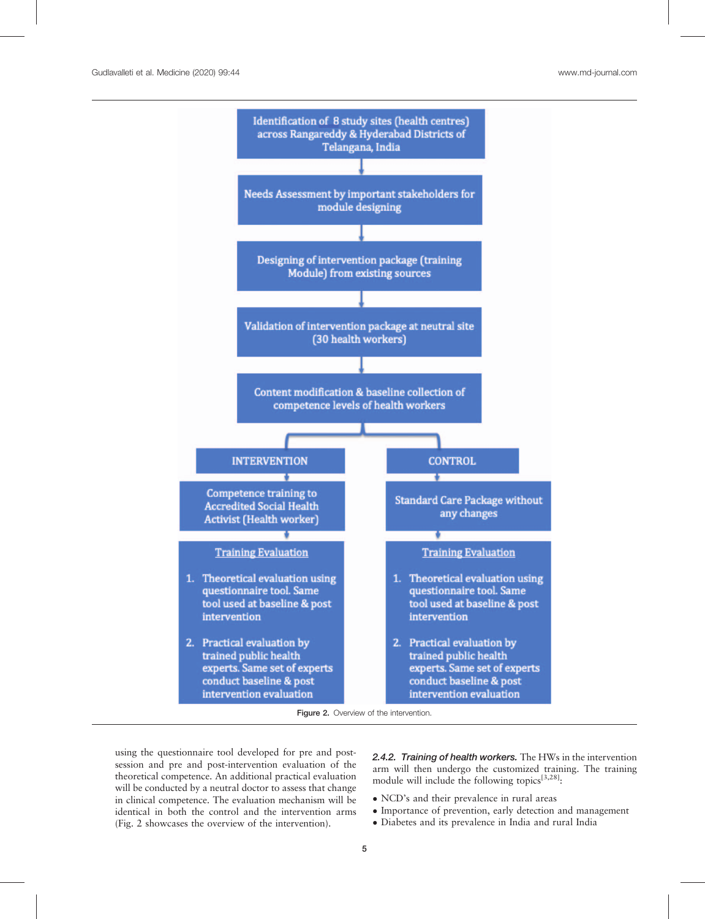

Figure 2. Overview of the intervention.

using the questionnaire tool developed for pre and postsession and pre and post-intervention evaluation of the theoretical competence. An additional practical evaluation will be conducted by a neutral doctor to assess that change in clinical competence. The evaluation mechanism will be identical in both the control and the intervention arms (Fig. 2 showcases the overview of the intervention).

2.4.2. Training of health workers. The HWs in the intervention arm will then undergo the customized training. The training module will include the following topics<sup>[3,28]</sup>:

- NCD's and their prevalence in rural areas
- Importance of prevention, early detection and management
- Diabetes and its prevalence in India and rural India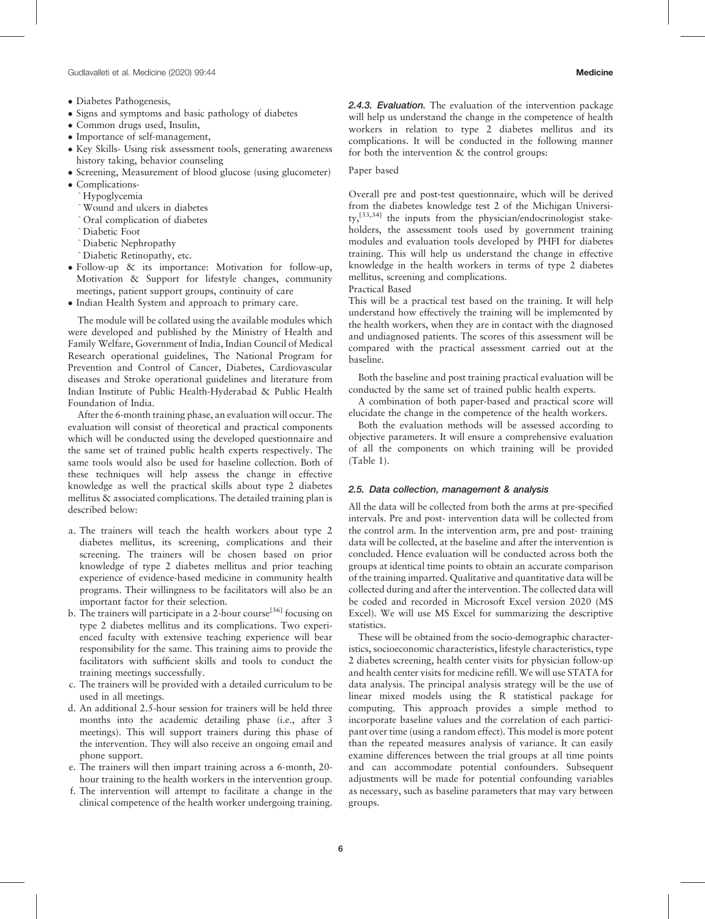- Diabetes Pathogenesis,
- Signs and symptoms and basic pathology of diabetes
- Common drugs used, Insulin,
- Importance of self-management,
- Key Skills- Using risk assessment tools, generating awareness history taking, behavior counseling
- Screening, Measurement of blood glucose (using glucometer) • Complications-
- ^Hypoglycemia
- ^Wound and ulcers in diabetes
- ^Oral complication of diabetes
- ^Diabetic Foot
- ^Diabetic Nephropathy
- ^Diabetic Retinopathy, etc.
- Follow-up & its importance: Motivation for follow-up, Motivation & Support for lifestyle changes, community meetings, patient support groups, continuity of care
- Indian Health System and approach to primary care.

The module will be collated using the available modules which were developed and published by the Ministry of Health and Family Welfare, Government of India, Indian Council of Medical Research operational guidelines, The National Program for Prevention and Control of Cancer, Diabetes, Cardiovascular diseases and Stroke operational guidelines and literature from Indian Institute of Public Health-Hyderabad & Public Health Foundation of India.

After the 6-month training phase, an evaluation will occur. The evaluation will consist of theoretical and practical components which will be conducted using the developed questionnaire and the same set of trained public health experts respectively. The same tools would also be used for baseline collection. Both of these techniques will help assess the change in effective knowledge as well the practical skills about type 2 diabetes mellitus & associated complications. The detailed training plan is described below:

- a. The trainers will teach the health workers about type 2 diabetes mellitus, its screening, complications and their screening. The trainers will be chosen based on prior knowledge of type 2 diabetes mellitus and prior teaching experience of evidence-based medicine in community health programs. Their willingness to be facilitators will also be an important factor for their selection.
- b. The trainers will participate in a 2-hour course<sup>[\[36\]](#page-7-0)</sup> focusing on type 2 diabetes mellitus and its complications. Two experienced faculty with extensive teaching experience will bear responsibility for the same. This training aims to provide the facilitators with sufficient skills and tools to conduct the training meetings successfully.
- c. The trainers will be provided with a detailed curriculum to be used in all meetings.
- d. An additional 2.5-hour session for trainers will be held three months into the academic detailing phase (i.e., after 3 meetings). This will support trainers during this phase of the intervention. They will also receive an ongoing email and phone support.
- e. The trainers will then impart training across a 6-month, 20 hour training to the health workers in the intervention group.
- f. The intervention will attempt to facilitate a change in the clinical competence of the health worker undergoing training.

2.4.3. Evaluation. The evaluation of the intervention package will help us understand the change in the competence of health workers in relation to type 2 diabetes mellitus and its complications. It will be conducted in the following manner for both the intervention & the control groups:

#### Paper based

Overall pre and post-test questionnaire, which will be derived from the diabetes knowledge test 2 of the Michigan University,[33,34] the inputs from the physician/endocrinologist stakeholders, the assessment tools used by government training modules and evaluation tools developed by PHFI for diabetes training. This will help us understand the change in effective knowledge in the health workers in terms of type 2 diabetes mellitus, screening and complications.

Practical Based

This will be a practical test based on the training. It will help understand how effectively the training will be implemented by the health workers, when they are in contact with the diagnosed and undiagnosed patients. The scores of this assessment will be compared with the practical assessment carried out at the baseline.

Both the baseline and post training practical evaluation will be conducted by the same set of trained public health experts.

A combination of both paper-based and practical score will elucidate the change in the competence of the health workers.

Both the evaluation methods will be assessed according to objective parameters. It will ensure a comprehensive evaluation of all the components on which training will be provided ([Table 1](#page-1-0)).

## 2.5. Data collection, management & analysis

All the data will be collected from both the arms at pre-specified intervals. Pre and post- intervention data will be collected from the control arm. In the intervention arm, pre and post- training data will be collected, at the baseline and after the intervention is concluded. Hence evaluation will be conducted across both the groups at identical time points to obtain an accurate comparison of the training imparted. Qualitative and quantitative data will be collected during and after the intervention. The collected data will be coded and recorded in Microsoft Excel version 2020 (MS Excel). We will use MS Excel for summarizing the descriptive statistics.

These will be obtained from the socio-demographic characteristics, socioeconomic characteristics, lifestyle characteristics, type 2 diabetes screening, health center visits for physician follow-up and health center visits for medicine refill. We will use STATA for data analysis. The principal analysis strategy will be the use of linear mixed models using the R statistical package for computing. This approach provides a simple method to incorporate baseline values and the correlation of each participant over time (using a random effect). This model is more potent than the repeated measures analysis of variance. It can easily examine differences between the trial groups at all time points and can accommodate potential confounders. Subsequent adjustments will be made for potential confounding variables as necessary, such as baseline parameters that may vary between groups.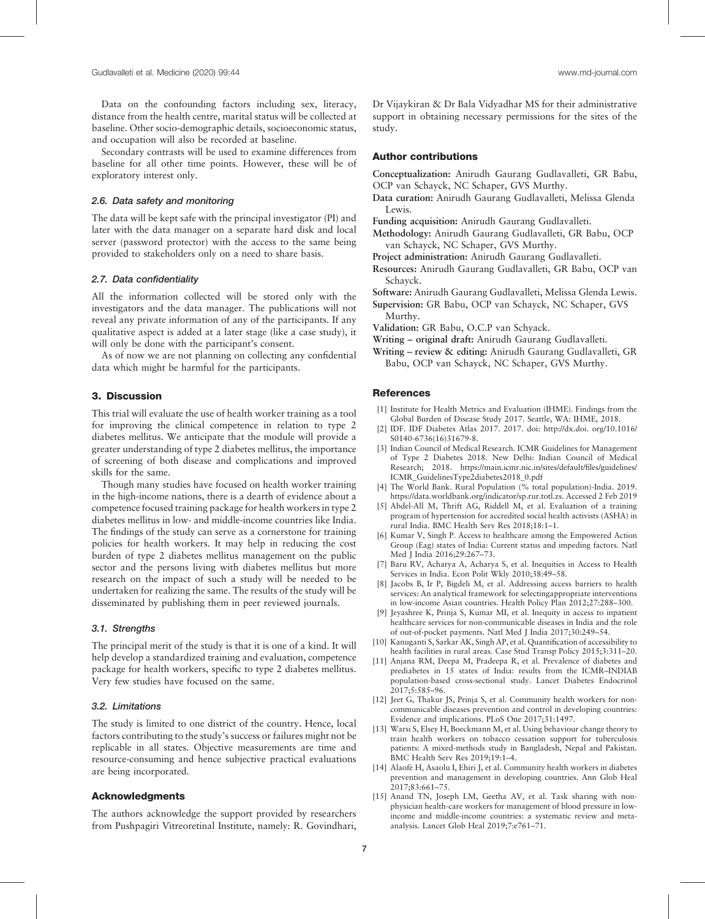<span id="page-6-0"></span>Data on the confounding factors including sex, literacy, distance from the health centre, marital status will be collected at baseline. Other socio-demographic details, socioeconomic status, and occupation will also be recorded at baseline.

Secondary contrasts will be used to examine differences from baseline for all other time points. However, these will be of exploratory interest only.

## 2.6. Data safety and monitoring

The data will be kept safe with the principal investigator (PI) and later with the data manager on a separate hard disk and local server (password protector) with the access to the same being provided to stakeholders only on a need to share basis.

## 2.7. Data confidentiality

All the information collected will be stored only with the investigators and the data manager. The publications will not reveal any private information of any of the participants. If any qualitative aspect is added at a later stage (like a case study), it will only be done with the participant's consent.

As of now we are not planning on collecting any confidential data which might be harmful for the participants.

## 3. Discussion

This trial will evaluate the use of health worker training as a tool for improving the clinical competence in relation to type 2 diabetes mellitus. We anticipate that the module will provide a greater understanding of type 2 diabetes mellitus, the importance of screening of both disease and complications and improved skills for the same.

Though many studies have focused on health worker training in the high-income nations, there is a dearth of evidence about a competence focused training package for health workers in type 2 diabetes mellitus in low- and middle-income countries like India. The findings of the study can serve as a cornerstone for training policies for health workers. It may help in reducing the cost burden of type 2 diabetes mellitus management on the public sector and the persons living with diabetes mellitus but more research on the impact of such a study will be needed to be undertaken for realizing the same. The results of the study will be disseminated by publishing them in peer reviewed journals.

#### 3.1. Strengths

The principal merit of the study is that it is one of a kind. It will help develop a standardized training and evaluation, competence package for health workers, specific to type 2 diabetes mellitus. Very few studies have focused on the same.

#### 3.2. Limitations

The study is limited to one district of the country. Hence, local factors contributing to the study's success or failures might not be replicable in all states. Objective measurements are time and resource-consuming and hence subjective practical evaluations are being incorporated.

## Acknowledgments

The authors acknowledge the support provided by researchers from Pushpagiri Vitreoretinal Institute, namely: R. Govindhari,

## Author contributions

Conceptualization: Anirudh Gaurang Gudlavalleti, GR Babu, OCP van Schayck, NC Schaper, GVS Murthy.

- Data curation: Anirudh Gaurang Gudlavalleti, Melissa Glenda Lewis.
- Funding acquisition: Anirudh Gaurang Gudlavalleti.
- Methodology: Anirudh Gaurang Gudlavalleti, GR Babu, OCP van Schayck, NC Schaper, GVS Murthy.
- Project administration: Anirudh Gaurang Gudlavalleti.
- Resources: Anirudh Gaurang Gudlavalleti, GR Babu, OCP van Schayck.

Software: Anirudh Gaurang Gudlavalleti, Melissa Glenda Lewis.

- Supervision: GR Babu, OCP van Schayck, NC Schaper, GVS Murthy.
- Validation: GR Babu, O.C.P van Schyack.
- Writing original draft: Anirudh Gaurang Gudlavalleti.
- Writing review & editing: Anirudh Gaurang Gudlavalleti, GR Babu, OCP van Schayck, NC Schaper, GVS Murthy.

## **References**

- [1] Institute for Health Metrics and Evaluation (IHME). Findings from the Global Burden of Disease Study 2017. Seattle, WA: IHME, 2018.
- [2] IDF. IDF Diabetes Atlas 2017. 2017. doi: [http://dx.doi. org/10.1016/](http://dx.doi.%20org/10.1016/S0140-6736(16)31679-8) [S0140-6736\(16\)31679-8.](http://dx.doi.%20org/10.1016/S0140-6736(16)31679-8)
- [3] Indian Council of Medical Research. ICMR Guidelines for Management of Type 2 Diabetes 2018. New Delhi: Indian Council of Medical Research; 2018. [https://main.icmr.nic.in/sites/default/](https://main.icmr.nic.in/sites/default/files/guidelines/ICMR_GuidelinesType2diabetes2018_0.pdf)files/guidelines/ [ICMR\\_GuidelinesType2diabetes2018\\_0.pdf](https://main.icmr.nic.in/sites/default/files/guidelines/ICMR_GuidelinesType2diabetes2018_0.pdf)
- [4] The World Bank. Rural Population (% total population)-India. 2019. <https://data.worldbank.org/indicator/sp.rur.totl.zs>. Accessed 2 Feb 2019
- [5] Abdel-All M, Thrift AG, Riddell M, et al. Evaluation of a training program of hypertension for accredited social health activists (ASHA) in rural India. BMC Health Serv Res 2018;18:1–1.
- [6] Kumar V, Singh P. Access to healthcare among the Empowered Action Group (Eag) states of India: Current status and impeding factors. Natl Med J India 2016;29:267–73.
- [7] Baru RV, Acharya A, Acharya S, et al. Inequities in Access to Health Services in India. Econ Polit Wkly 2010;38:49–58.
- [8] Jacobs B, Ir P, Bigdeli M, et al. Addressing access barriers to health services: An analytical framework for selectingappropriate interventions in low-income Asian countries. Health Policy Plan 2012;27:288–300.
- [9] Jeyashree K, Prinja S, Kumar MI, et al. Inequity in access to inpatient healthcare services for non-communicable diseases in India and the role of out-of-pocket payments. Natl Med J India 2017;30:249–54.
- [10] Kanuganti S, Sarkar AK, Singh AP, et al. Quantification of accessibility to health facilities in rural areas. Case Stud Transp Policy 2015;3:311–20.
- [11] Anjana RM, Deepa M, Pradeepa R, et al. Prevalence of diabetes and prediabetes in 15 states of India: results from the ICMR–INDIAB population-based cross-sectional study. Lancet Diabetes Endocrinol 2017;5:585–96.
- [12] Jeet G, Thakur JS, Prinja S, et al. Community health workers for noncommunicable diseases prevention and control in developing countries: Evidence and implications. PLoS One 2017;31:1497.
- [13] Warsi S, Elsey H, Boeckmann M, et al. Using behaviour change theory to train health workers on tobacco cessation support for tuberculosis patients: A mixed-methods study in Bangladesh, Nepal and Pakistan. BMC Health Serv Res 2019;19:1–4.
- [14] Alaofè H, Asaolu I, Ehiri J, et al. Community health workers in diabetes prevention and management in developing countries. Ann Glob Heal 2017;83:661–75.
- [15] Anand TN, Joseph LM, Geetha AV, et al. Task sharing with nonphysician health-care workers for management of blood pressure in lowincome and middle-income countries: a systematic review and metaanalysis. Lancet Glob Heal 2019;7:e761–71.